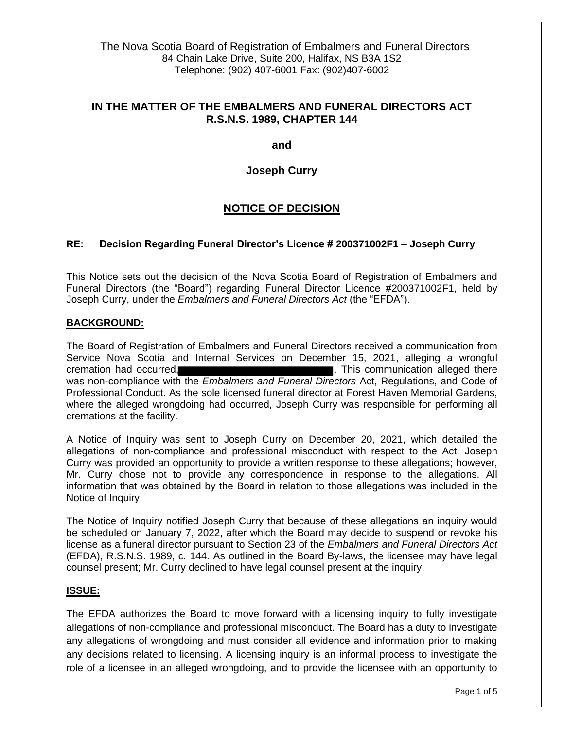The Nova Scotia Board of Registration of Embalmers and Funeral Directors 84 Chain Lake Drive, Suite 200, Halifax, NS B3A 1S2 Telephone: (902) 407-6001 Fax: (902)407-6002

## **IN THE MATTER OF THE EMBALMERS AND FUNERAL DIRECTORS ACT R.S.N.S. 1989, CHAPTER 144**

**and**

**Joseph Curry**

# **NOTICE OF DECISION**

#### **RE: Decision Regarding Funeral Director's Licence # 200371002F1 – Joseph Curry**

This Notice sets out the decision of the Nova Scotia Board of Registration of Embalmers and Funeral Directors (the "Board") regarding Funeral Director Licence #200371002F1, held by Joseph Curry, under the *Embalmers and Funeral Directors Act* (the "EFDA").

#### **BACKGROUND:**

The Board of Registration of Embalmers and Funeral Directors received a communication from Service Nova Scotia and Internal Services on December 15, 2021, alleging a wrongful cremation had occurred, . This communication alleged there was non-compliance with the *Embalmers and Funeral Directors* Act, Regulations, and Code of Professional Conduct. As the sole licensed funeral director at Forest Haven Memorial Gardens, where the alleged wrongdoing had occurred, Joseph Curry was responsible for performing all cremations at the facility.

A Notice of Inquiry was sent to Joseph Curry on December 20, 2021, which detailed the allegations of non-compliance and professional misconduct with respect to the Act. Joseph Curry was provided an opportunity to provide a written response to these allegations; however, Mr. Curry chose not to provide any correspondence in response to the allegations. All information that was obtained by the Board in relation to those allegations was included in the Notice of Inquiry.

The Notice of Inquiry notified Joseph Curry that because of these allegations an inquiry would be scheduled on January 7, 2022, after which the Board may decide to suspend or revoke his license as a funeral director pursuant to Section 23 of the *Embalmers and Funeral Directors Act*  (EFDA), R.S.N.S. 1989, c. 144. As outlined in the Board By-laws, the licensee may have legal counsel present; Mr. Curry declined to have legal counsel present at the inquiry.

#### **ISSUE:**

The EFDA authorizes the Board to move forward with a licensing inquiry to fully investigate allegations of non-compliance and professional misconduct. The Board has a duty to investigate any allegations of wrongdoing and must consider all evidence and information prior to making any decisions related to licensing. A licensing inquiry is an informal process to investigate the role of a licensee in an alleged wrongdoing, and to provide the licensee with an opportunity to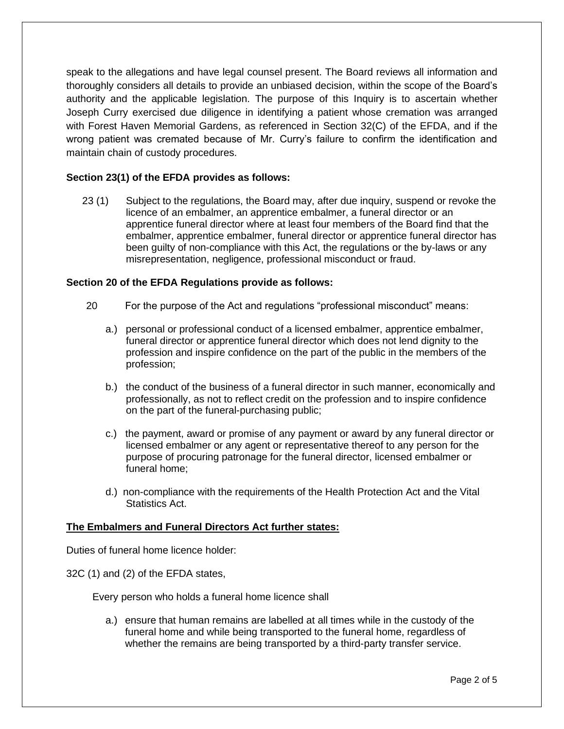speak to the allegations and have legal counsel present. The Board reviews all information and thoroughly considers all details to provide an unbiased decision, within the scope of the Board's authority and the applicable legislation. The purpose of this Inquiry is to ascertain whether Joseph Curry exercised due diligence in identifying a patient whose cremation was arranged with Forest Haven Memorial Gardens, as referenced in Section 32(C) of the EFDA, and if the wrong patient was cremated because of Mr. Curry's failure to confirm the identification and maintain chain of custody procedures.

### **Section 23(1) of the EFDA provides as follows:**

23 (1) Subject to the regulations, the Board may, after due inquiry, suspend or revoke the licence of an embalmer, an apprentice embalmer, a funeral director or an apprentice funeral director where at least four members of the Board find that the embalmer, apprentice embalmer, funeral director or apprentice funeral director has been guilty of non-compliance with this Act, the regulations or the by-laws or any misrepresentation, negligence, professional misconduct or fraud.

#### **Section 20 of the EFDA Regulations provide as follows:**

- 20 For the purpose of the Act and regulations "professional misconduct" means:
	- a.) personal or professional conduct of a licensed embalmer, apprentice embalmer, funeral director or apprentice funeral director which does not lend dignity to the profession and inspire confidence on the part of the public in the members of the profession;
	- b.) the conduct of the business of a funeral director in such manner, economically and professionally, as not to reflect credit on the profession and to inspire confidence on the part of the funeral-purchasing public;
	- c.) the payment, award or promise of any payment or award by any funeral director or licensed embalmer or any agent or representative thereof to any person for the purpose of procuring patronage for the funeral director, licensed embalmer or funeral home;
	- d.) non-compliance with the requirements of the Health Protection Act and the Vital Statistics Act.

### **The Embalmers and Funeral Directors Act further states:**

Duties of funeral home licence holder:

32C (1) and (2) of the EFDA states,

Every person who holds a funeral home licence shall

a.) ensure that human remains are labelled at all times while in the custody of the funeral home and while being transported to the funeral home, regardless of whether the remains are being transported by a third-party transfer service.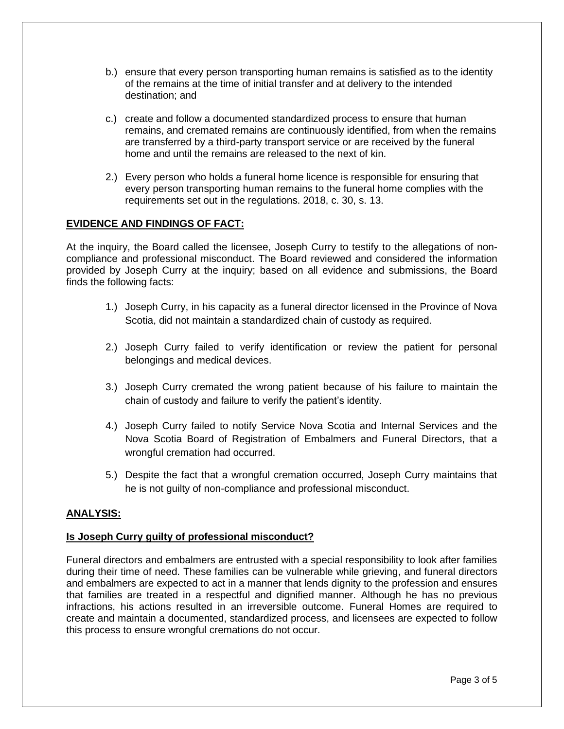- b.) ensure that every person transporting human remains is satisfied as to the identity of the remains at the time of initial transfer and at delivery to the intended destination; and
- c.) create and follow a documented standardized process to ensure that human remains, and cremated remains are continuously identified, from when the remains are transferred by a third-party transport service or are received by the funeral home and until the remains are released to the next of kin.
- 2.) Every person who holds a funeral home licence is responsible for ensuring that every person transporting human remains to the funeral home complies with the requirements set out in the regulations. 2018, c. 30, s. 13.

### **EVIDENCE AND FINDINGS OF FACT:**

At the inquiry, the Board called the licensee, Joseph Curry to testify to the allegations of noncompliance and professional misconduct. The Board reviewed and considered the information provided by Joseph Curry at the inquiry; based on all evidence and submissions, the Board finds the following facts:

- 1.) Joseph Curry, in his capacity as a funeral director licensed in the Province of Nova Scotia, did not maintain a standardized chain of custody as required.
- 2.) Joseph Curry failed to verify identification or review the patient for personal belongings and medical devices.
- 3.) Joseph Curry cremated the wrong patient because of his failure to maintain the chain of custody and failure to verify the patient's identity.
- 4.) Joseph Curry failed to notify Service Nova Scotia and Internal Services and the Nova Scotia Board of Registration of Embalmers and Funeral Directors, that a wrongful cremation had occurred.
- 5.) Despite the fact that a wrongful cremation occurred, Joseph Curry maintains that he is not guilty of non-compliance and professional misconduct.

### **ANALYSIS:**

### **Is Joseph Curry guilty of professional misconduct?**

Funeral directors and embalmers are entrusted with a special responsibility to look after families during their time of need. These families can be vulnerable while grieving, and funeral directors and embalmers are expected to act in a manner that lends dignity to the profession and ensures that families are treated in a respectful and dignified manner. Although he has no previous infractions, his actions resulted in an irreversible outcome. Funeral Homes are required to create and maintain a documented, standardized process, and licensees are expected to follow this process to ensure wrongful cremations do not occur.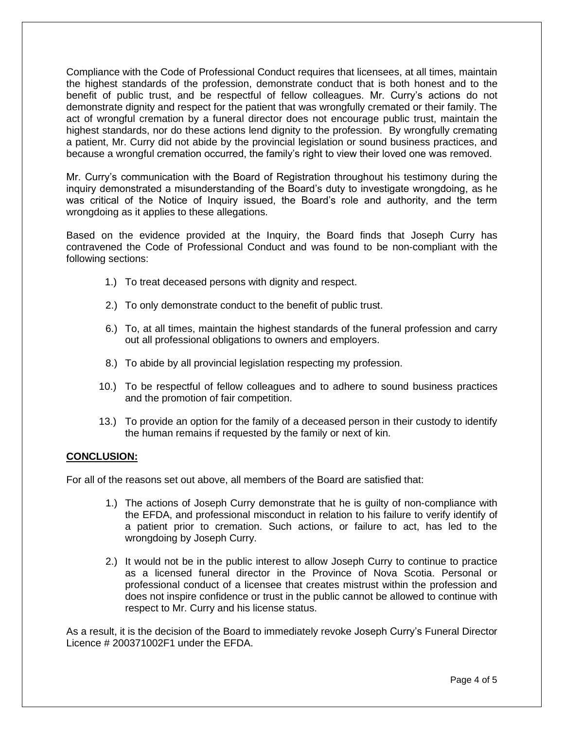Compliance with the Code of Professional Conduct requires that licensees, at all times, maintain the highest standards of the profession, demonstrate conduct that is both honest and to the benefit of public trust, and be respectful of fellow colleagues. Mr. Curry's actions do not demonstrate dignity and respect for the patient that was wrongfully cremated or their family. The act of wrongful cremation by a funeral director does not encourage public trust, maintain the highest standards, nor do these actions lend dignity to the profession. By wrongfully cremating a patient, Mr. Curry did not abide by the provincial legislation or sound business practices, and because a wrongful cremation occurred, the family's right to view their loved one was removed.

Mr. Curry's communication with the Board of Registration throughout his testimony during the inquiry demonstrated a misunderstanding of the Board's duty to investigate wrongdoing, as he was critical of the Notice of Inquiry issued, the Board's role and authority, and the term wrongdoing as it applies to these allegations.

Based on the evidence provided at the Inquiry, the Board finds that Joseph Curry has contravened the Code of Professional Conduct and was found to be non-compliant with the following sections:

- 1.) To treat deceased persons with dignity and respect.
- 2.) To only demonstrate conduct to the benefit of public trust.
- 6.) To, at all times, maintain the highest standards of the funeral profession and carry out all professional obligations to owners and employers.
- 8.) To abide by all provincial legislation respecting my profession.
- 10.) To be respectful of fellow colleagues and to adhere to sound business practices and the promotion of fair competition.
- 13.) To provide an option for the family of a deceased person in their custody to identify the human remains if requested by the family or next of kin.

### **CONCLUSION:**

For all of the reasons set out above, all members of the Board are satisfied that:

- 1.) The actions of Joseph Curry demonstrate that he is guilty of non-compliance with the EFDA, and professional misconduct in relation to his failure to verify identify of a patient prior to cremation. Such actions, or failure to act, has led to the wrongdoing by Joseph Curry.
- 2.) It would not be in the public interest to allow Joseph Curry to continue to practice as a licensed funeral director in the Province of Nova Scotia. Personal or professional conduct of a licensee that creates mistrust within the profession and does not inspire confidence or trust in the public cannot be allowed to continue with respect to Mr. Curry and his license status.

As a result, it is the decision of the Board to immediately revoke Joseph Curry's Funeral Director Licence # 200371002F1 under the EFDA.